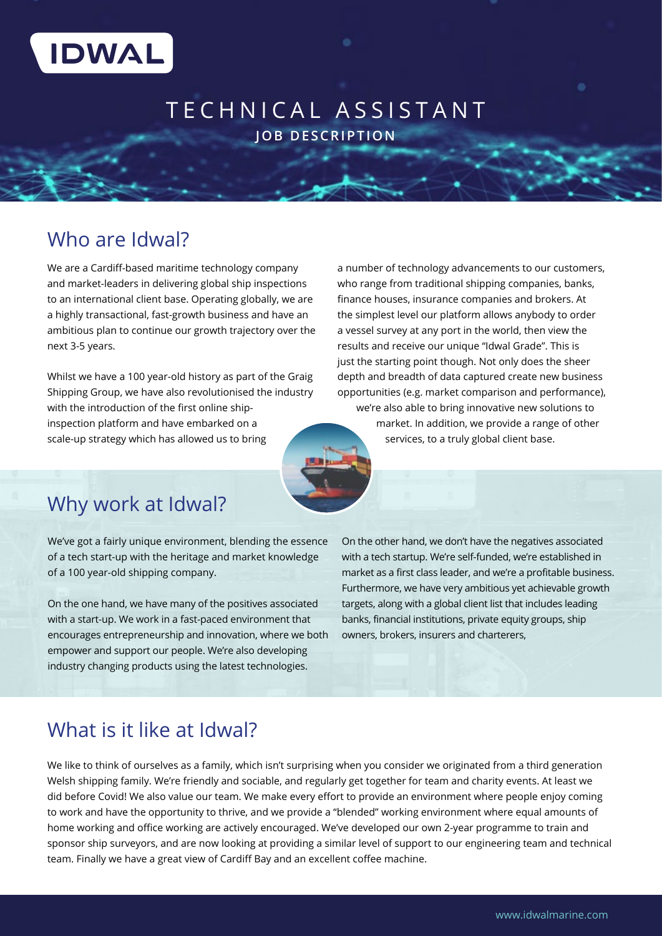

## TECHNICAL ASSISTANT **JOB DESCRIPTION**

## Who are Idwal?

We are a Cardiff-based maritime technology company and market-leaders in delivering global ship inspections to an international client base. Operating globally, we are a highly transactional, fast-growth business and have an ambitious plan to continue our growth trajectory over the next 3-5 years.

Whilst we have a 100 year-old history as part of the Graig Shipping Group, we have also revolutionised the industry with the introduction of the first online shipinspection platform and have embarked on a scale-up strategy which has allowed us to bring

a number of technology advancements to our customers, who range from traditional shipping companies, banks, finance houses, insurance companies and brokers. At the simplest level our platform allows anybody to order a vessel survey at any port in the world, then view the results and receive our unique "Idwal Grade". This is just the starting point though. Not only does the sheer depth and breadth of data captured create new business opportunities (e.g. market comparison and performance),

we're also able to bring innovative new solutions to market. In addition, we provide a range of other services, to a truly global client base.



# Why work at Idwal?

We've got a fairly unique environment, blending the essence of a tech start-up with the heritage and market knowledge of a 100 year-old shipping company.

On the one hand, we have many of the positives associated with a start-up. We work in a fast-paced environment that encourages entrepreneurship and innovation, where we both empower and support our people. We're also developing industry changing products using the latest technologies.

On the other hand, we don't have the negatives associated with a tech startup. We're self-funded, we're established in market as a first class leader, and we're a profitable business. Furthermore, we have very ambitious yet achievable growth targets, along with a global client list that includes leading banks, financial institutions, private equity groups, ship owners, brokers, insurers and charterers,

# What is it like at Idwal?

We like to think of ourselves as a family, which isn't surprising when you consider we originated from a third generation Welsh shipping family. We're friendly and sociable, and regularly get together for team and charity events. At least we did before Covid! We also value our team. We make every effort to provide an environment where people enjoy coming to work and have the opportunity to thrive, and we provide a "blended" working environment where equal amounts of home working and office working are actively encouraged. We've developed our own 2-year programme to train and sponsor ship surveyors, and are now looking at providing a similar level of support to our engineering team and technical team. Finally we have a great view of Cardiff Bay and an excellent coffee machine.